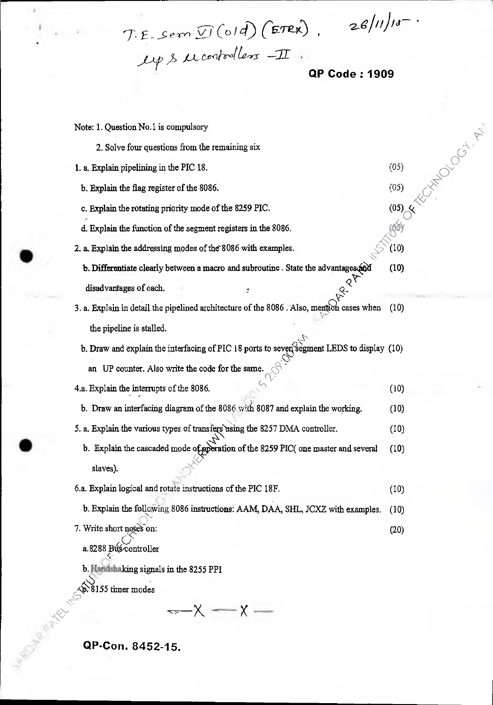$(05)$ 

 $(05)$ 

BRA

 $(10)$ 

 $(05)$   $\leq$ 

FOR DOOM PT

 $($ old) $($ ETRX),  $26/11/10^{-4}$  $\lambda$  *L* controllers  $-11$ .

**OP Code: 1909** 

Note: 1. Question No.1 is compulsory

- 2. Solve four questions from the remaining six
- 1. a. Explain pipelining in the PIC 18.

b. Explain the flag register of the 8086.

c. Explain the rotating priority mode of the 8259 PIC.

d. Explain the function of the segment registers in the 8086.

2. a. Explain the addressing modes of the 8086 with examples.

- **b. Differentiate clearly between a macro and subroutine.** State the advantages  $\phi$  (10) disadvantages of each. disadvantages of each.
- 3. a. Explain in detail the pipelined architecture of the 8086. Also, mention cases when (10) the pipeline is stalled.

b. Draw and explain the interfacing of PIC 18 ports to seven segment LEDS to display (10) an UP counter. Also write the code for the same.

- 4.a. Explain the interrupts of the 8086.  $(10)$
- b. Draw an interfacing diagram of the 8086 with 8087 and explain the working.  $(10)$
- 5. a. Explain the various types of transfers using the 8257 DMA controller. (10)
	- b. Explain the cascaded mode of subtration of the 8259 PIC( one master and several (10) slaves).
- 6.a. Explain logical and rotate instructions of the PIC 18F. (10) b. Explain the following 8086 instructions: AAM, DAA, SHL, JCXZ with examples. (10) 7. Write short notes on:  $(20)$

a.8288 Buscontroller

b. Handshaking signals in the 8255 PPI

 $\sim 8155$  timer modes

 $-x \rightarrow -$ 

**QP-Con. 8452-15.**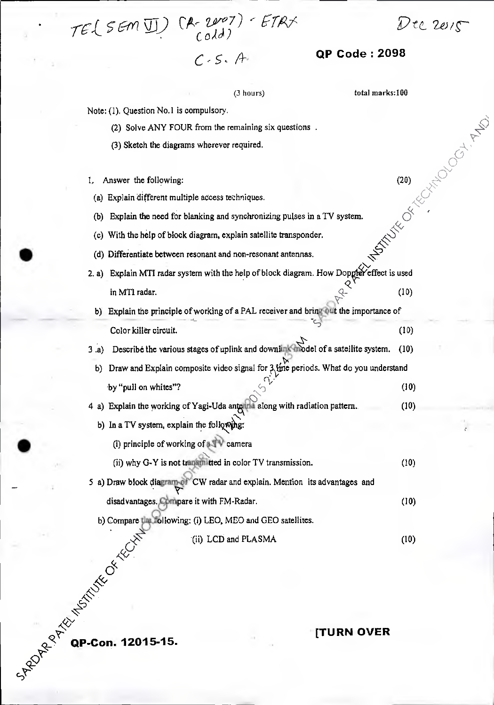Pt& 2ei*,C* 

**[TURN OVER** 

| $C - S - A$                                                                                  | <b>QP Code: 2098</b>  |                 |
|----------------------------------------------------------------------------------------------|-----------------------|-----------------|
| (3 hours)                                                                                    | total marks:100       |                 |
| Note: (1). Question No.1 is compulsory.                                                      |                       |                 |
| (2) Solve ANY FOUR from the remaining six questions.                                         |                       |                 |
| (3) Sketch the diagrams wherever required.                                                   |                       |                 |
|                                                                                              |                       | <b>HADOCATA</b> |
| Answer the following:<br>Ι,                                                                  | (20)                  |                 |
| Explain different multiple access techniques.<br>$\left( a\right)$                           |                       |                 |
| Explain the need for blanking and synchronizing pulses in a TV system.<br>(b)                |                       |                 |
| With the help of block diagram, explain satellite transponder.<br>$\left( 0 \right)$         |                       |                 |
| (d) Differentiate between resonant and non-resonant antennas.                                | <b>SERVITE OF REA</b> |                 |
| Explain MTI radar system with the help of block diagram. How Doppler effect is used<br>2. a) |                       |                 |
| in MTI radar.                                                                                | (10)                  |                 |
| Explain the principle of working of a PAL receiver and bring out the importance of<br>b)     |                       |                 |
| Color killer circuit.                                                                        | (10)                  |                 |
| Describe the various stages of uplink and downlink thodel of a satellite system.<br>3(a)     | (10)                  |                 |
| Draw and Explain composite video signal for 3 line periods. What do you understand           |                       |                 |
| b)                                                                                           |                       |                 |
| by "pull on whites"?                                                                         | (10)                  |                 |
| 4 a) Explain the working of Yagi-Uda anterina along with radiation pattern.                  | (10)                  |                 |
| b) In a TV system, explain the following:                                                    |                       |                 |
| (i) principle of working of a v camera                                                       |                       |                 |
| (ii) why G-Y is not transmitted in color TV transmission.                                    | (10)                  |                 |
| 5 a) Draw block diagram of CW radar and explain. Mention its advantages and                  |                       |                 |
| disadvantages. Compare it with FM-Radar.                                                     | (10)                  |                 |
| b) Compare the following: (i) LEO, MEO and GEO satellites.                                   |                       |                 |
| (ii) LCD and PLASMA                                                                          | (10)                  |                 |
|                                                                                              |                       |                 |

• TEL SEM II)  $(R - 2\nu^{\varphi}7) - ETRX$ 

**C**<sup><sup> $\propto$ </sup> QP-Con. 12015-15.</sup>

**÷4'**